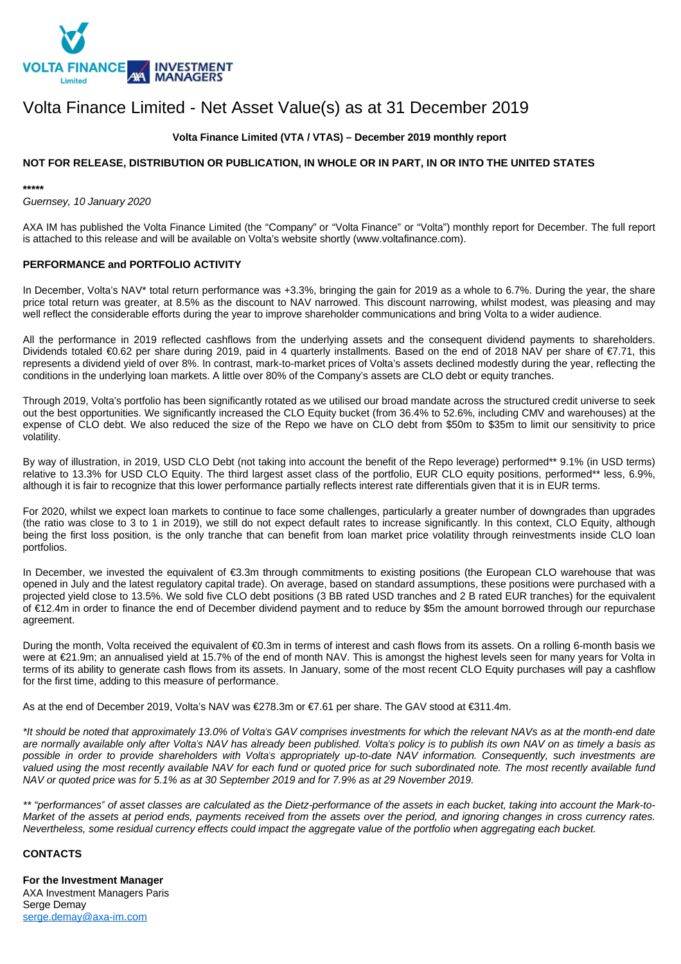

# Volta Finance Limited - Net Asset Value(s) as at 31 December 2019

## **Volta Finance Limited (VTA / VTAS) – December 2019 monthly report**

## **NOT FOR RELEASE, DISTRIBUTION OR PUBLICATION, IN WHOLE OR IN PART, IN OR INTO THE UNITED STATES**

**\*\*\*\*\*** 

Guernsey, 10 January 2020

AXA IM has published the Volta Finance Limited (the "Company" or "Volta Finance" or "Volta") monthly report for December. The full report is attached to this release and will be available on Volta's website shortly (www.voltafinance.com).

## **PERFORMANCE and PORTFOLIO ACTIVITY**

In December, Volta's NAV\* total return performance was +3.3%, bringing the gain for 2019 as a whole to 6.7%. During the year, the share price total return was greater, at 8.5% as the discount to NAV narrowed. This discount narrowing, whilst modest, was pleasing and may well reflect the considerable efforts during the year to improve shareholder communications and bring Volta to a wider audience.

All the performance in 2019 reflected cashflows from the underlying assets and the consequent dividend payments to shareholders. Dividends totaled €0.62 per share during 2019, paid in 4 quarterly installments. Based on the end of 2018 NAV per share of €7.71, this represents a dividend yield of over 8%. In contrast, mark-to-market prices of Volta's assets declined modestly during the year, reflecting the conditions in the underlying loan markets. A little over 80% of the Company's assets are CLO debt or equity tranches.

Through 2019, Volta's portfolio has been significantly rotated as we utilised our broad mandate across the structured credit universe to seek out the best opportunities. We significantly increased the CLO Equity bucket (from 36.4% to 52.6%, including CMV and warehouses) at the expense of CLO debt. We also reduced the size of the Repo we have on CLO debt from \$50m to \$35m to limit our sensitivity to price volatility.

By way of illustration, in 2019, USD CLO Debt (not taking into account the benefit of the Repo leverage) performed\*\* 9.1% (in USD terms) relative to 13.3% for USD CLO Equity. The third largest asset class of the portfolio, EUR CLO equity positions, performed\*\* less, 6.9%, although it is fair to recognize that this lower performance partially reflects interest rate differentials given that it is in EUR terms.

For 2020, whilst we expect loan markets to continue to face some challenges, particularly a greater number of downgrades than upgrades (the ratio was close to 3 to 1 in 2019), we still do not expect default rates to increase significantly. In this context, CLO Equity, although being the first loss position, is the only tranche that can benefit from loan market price volatility through reinvestments inside CLO loan portfolios.

In December, we invested the equivalent of €3.3m through commitments to existing positions (the European CLO warehouse that was opened in July and the latest regulatory capital trade). On average, based on standard assumptions, these positions were purchased with a projected yield close to 13.5%. We sold five CLO debt positions (3 BB rated USD tranches and 2 B rated EUR tranches) for the equivalent of €12.4m in order to finance the end of December dividend payment and to reduce by \$5m the amount borrowed through our repurchase agreement.

During the month, Volta received the equivalent of €0.3m in terms of interest and cash flows from its assets. On a rolling 6-month basis we were at €21.9m; an annualised yield at 15.7% of the end of month NAV. This is amongst the highest levels seen for many years for Volta in terms of its ability to generate cash flows from its assets. In January, some of the most recent CLO Equity purchases will pay a cashflow for the first time, adding to this measure of performance.

As at the end of December 2019, Volta's NAV was €278.3m or €7.61 per share. The GAV stood at €311.4m.

\*It should be noted that approximately 13.0% of Volta's GAV comprises investments for which the relevant NAVs as at the month-end date are normally available only after Volta's NAV has already been published. Volta's policy is to publish its own NAV on as timely a basis as possible in order to provide shareholders with Volta's appropriately up-to-date NAV information. Consequently, such investments are valued using the most recently available NAV for each fund or quoted price for such subordinated note. The most recently available fund NAV or quoted price was for 5.1% as at 30 September 2019 and for 7.9% as at 29 November 2019.

\*\* "performances" of asset classes are calculated as the Dietz-performance of the assets in each bucket, taking into account the Mark-to-Market of the assets at period ends, payments received from the assets over the period, and ignoring changes in cross currency rates. Nevertheless, some residual currency effects could impact the aggregate value of the portfolio when aggregating each bucket.

## **CONTACTS**

**For the Investment Manager** AXA Investment Managers Paris Serge Demay [serge.demay@axa-im.com](mailto:serge.demay@axa-im.com)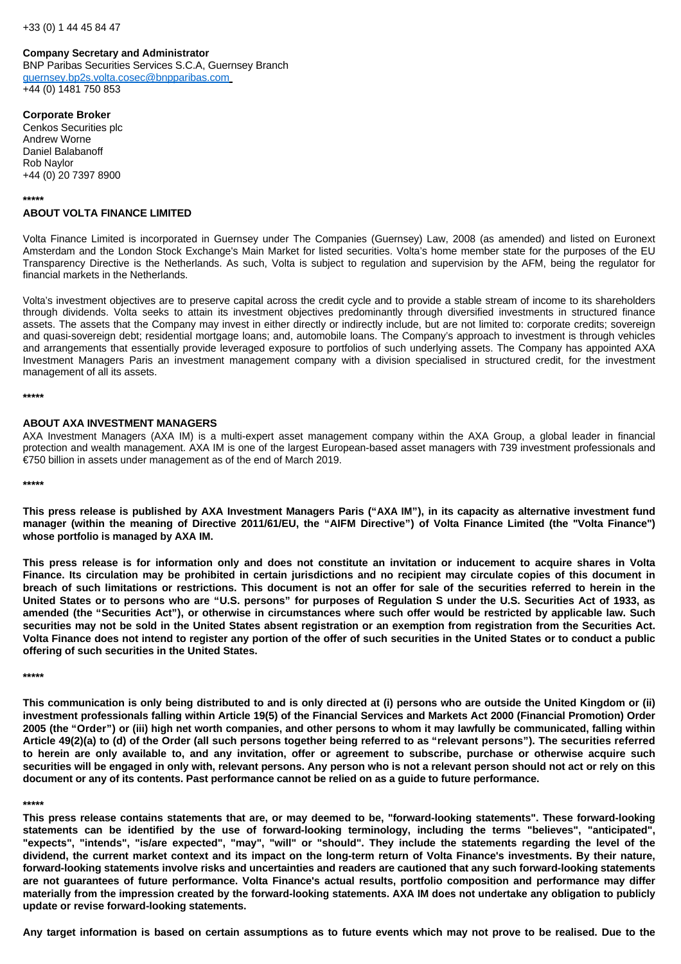+33 (0) 1 44 45 84 47

### **Company Secretary and Administrator**

BNP Paribas Securities Services S.C.A, Guernsey Branch [guernsey.bp2s.volta.cosec@bnpparibas.com](https://www.globenewswire.com/Tracker?data=8TYqe1zzDqrQV8m8k-fbuFfCPWcNVqXrTTQMy3Vw8CpoBFOGhqpPpexeVMzzK3ctUViX81WWkeuOxG9NHYG9jpMG8R0hD_N6-LtgNWE1arDUTmA3IXFWi7YN-Tx87SohQjtqLRvKjC0Xt9Uez6CGwy7YMZBDTJNaoPfIdb0fq48=) +44 (0) 1481 750 853

#### **Corporate Broker**

Cenkos Securities plc Andrew Worne Daniel Balabanoff Rob Naylor +44 (0) 20 7397 8900

**\*\*\*\*\*** 

#### **ABOUT VOLTA FINANCE LIMITED**

Volta Finance Limited is incorporated in Guernsey under The Companies (Guernsey) Law, 2008 (as amended) and listed on Euronext Amsterdam and the London Stock Exchange's Main Market for listed securities. Volta's home member state for the purposes of the EU Transparency Directive is the Netherlands. As such, Volta is subject to regulation and supervision by the AFM, being the regulator for financial markets in the Netherlands.

Volta's investment objectives are to preserve capital across the credit cycle and to provide a stable stream of income to its shareholders through dividends. Volta seeks to attain its investment objectives predominantly through diversified investments in structured finance assets. The assets that the Company may invest in either directly or indirectly include, but are not limited to: corporate credits; sovereign and quasi-sovereign debt; residential mortgage loans; and, automobile loans. The Company's approach to investment is through vehicles and arrangements that essentially provide leveraged exposure to portfolios of such underlying assets. The Company has appointed AXA Investment Managers Paris an investment management company with a division specialised in structured credit, for the investment management of all its assets.

**\*\*\*\*\***

## **ABOUT AXA INVESTMENT MANAGERS**

AXA Investment Managers (AXA IM) is a multi-expert asset management company within the AXA Group, a global leader in financial protection and wealth management. AXA IM is one of the largest European-based asset managers with 739 investment professionals and €750 billion in assets under management as of the end of March 2019.

**\*\*\*\*\*** 

**This press release is published by AXA Investment Managers Paris ("AXA IM"), in its capacity as alternative investment fund manager (within the meaning of Directive 2011/61/EU, the "AIFM Directive") of Volta Finance Limited (the "Volta Finance") whose portfolio is managed by AXA IM.**

**This press release is for information only and does not constitute an invitation or inducement to acquire shares in Volta Finance. Its circulation may be prohibited in certain jurisdictions and no recipient may circulate copies of this document in breach of such limitations or restrictions. This document is not an offer for sale of the securities referred to herein in the United States or to persons who are "U.S. persons" for purposes of Regulation S under the U.S. Securities Act of 1933, as amended (the "Securities Act"), or otherwise in circumstances where such offer would be restricted by applicable law. Such securities may not be sold in the United States absent registration or an exemption from registration from the Securities Act. Volta Finance does not intend to register any portion of the offer of such securities in the United States or to conduct a public offering of such securities in the United States.** 

**\*\*\*\*\*** 

**This communication is only being distributed to and is only directed at (i) persons who are outside the United Kingdom or (ii) investment professionals falling within Article 19(5) of the Financial Services and Markets Act 2000 (Financial Promotion) Order 2005 (the "Order") or (iii) high net worth companies, and other persons to whom it may lawfully be communicated, falling within Article 49(2)(a) to (d) of the Order (all such persons together being referred to as "relevant persons"). The securities referred to herein are only available to, and any invitation, offer or agreement to subscribe, purchase or otherwise acquire such securities will be engaged in only with, relevant persons. Any person who is not a relevant person should not act or rely on this document or any of its contents. Past performance cannot be relied on as a guide to future performance.**

#### **\*\*\*\*\***

**This press release contains statements that are, or may deemed to be, "forward-looking statements". These forward-looking statements can be identified by the use of forward-looking terminology, including the terms "believes", "anticipated", "expects", "intends", "is/are expected", "may", "will" or "should". They include the statements regarding the level of the dividend, the current market context and its impact on the long-term return of Volta Finance's investments. By their nature, forward-looking statements involve risks and uncertainties and readers are cautioned that any such forward-looking statements are not guarantees of future performance. Volta Finance's actual results, portfolio composition and performance may differ materially from the impression created by the forward-looking statements. AXA IM does not undertake any obligation to publicly update or revise forward-looking statements.**

**Any target information is based on certain assumptions as to future events which may not prove to be realised. Due to the**